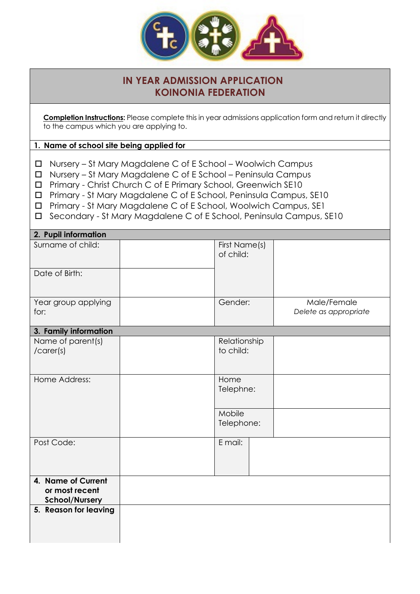

## **IN YEAR ADMISSION APPLICATION KOINONIA FEDERATION**

**Completion Instructions:** Please complete this in year admissions application form and return it directly to the campus which you are applying to.

## **1. Name of school site being applied for**

- $\Box$  Nursery St Mary Magdalene C of E School Woolwich Campus
- $\Box$  Nursery St Mary Magdalene C of E School Peninsula Campus
- □ Primary Christ Church C of E Primary School, Greenwich SE10
- o Primary St Mary Magdalene C of E School, Peninsula Campus, SE10
- o Primary St Mary Magdalene C of E School, Woolwich Campus, SE1
- o Secondary St Mary Magdalene C of E School, Peninsula Campus, SE10

| 2. Pupil information                                          |  |                            |                           |                                      |
|---------------------------------------------------------------|--|----------------------------|---------------------------|--------------------------------------|
| Surname of child:                                             |  | First Name(s)<br>of child: |                           |                                      |
| Date of Birth:                                                |  |                            |                           |                                      |
| Year group applying<br>for:                                   |  | Gender:                    |                           | Male/Female<br>Delete as appropriate |
| 3. Family information                                         |  |                            |                           |                                      |
| Name of parent(s)<br>/ <sub>care</sub> (s)                    |  |                            | Relationship<br>to child: |                                      |
| Home Address:                                                 |  | Home<br>Telephne:          |                           |                                      |
|                                                               |  | Mobile<br>Telephone:       |                           |                                      |
| Post Code:                                                    |  | E mail:                    |                           |                                      |
| 4. Name of Current<br>or most recent<br><b>School/Nursery</b> |  |                            |                           |                                      |
| 5. Reason for leaving                                         |  |                            |                           |                                      |